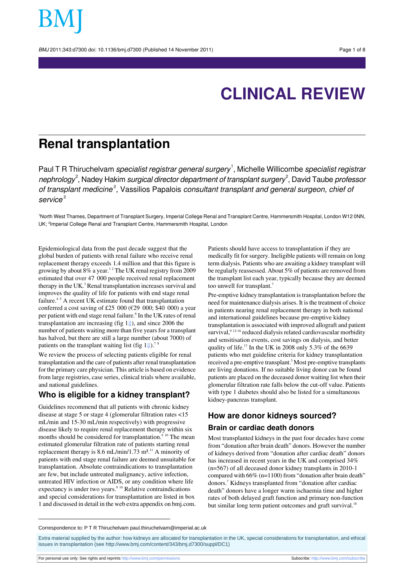BMJ 2011:343:d7300 doi: 10.1136/bmi.d7300 (Published 14 November 2011) Page 1 of 8

# **CLINICAL REVIEW**

## **Renal transplantation**

Paul T R Thiruchelvam *specialist registrar general surgery*<sup>1</sup>, Michelle Willicombe *specialist registrar* nephrology $^2$ , Nadey Hakim surgical director department of transplant surgery $^2$ , David Taube professor of transplant medicine<sup>2</sup>, Vassilios Papalois consultant transplant and general surgeon, chief oi service<sup>2</sup>

<sup>1</sup>North West Thames, Department of Transplant Surgery, Imperial College Renal and Transplant Centre, Hammersmith Hospital, London W12 0NN, UK; <sup>2</sup>Imperial College Renal and Transplant Centre, Hammersmith Hospital, London

Epidemiological data from the past decade suggest that the global burden of patients with renal failure who receive renal replacement therapy exceeds 1.4 million and that this figure is growing by about  $8\%$  a year.<sup>12</sup> The UK renal registry from 2009 estimated that over 47 000 people received renal replacement therapy in the UK.<sup>3</sup> Renal transplantation increases survival and improves the quality of life for patients with end stage renal failure.<sup>45</sup> A recent UK estimate found that transplantation conferred a cost saving of £25 000 (€29 000; \$40 000) a year per patient with end stage renal failure.<sup>6</sup> In the UK rates of renal transplantation are increasing (fig 1[⇓](#page-7-0)), and since 2006 the number of patients waiting more than five years for a transplant has halved, but there are still a large number (about 7000) of patients on the transplant waiting list (fig 1 $\downarrow$ ).<sup>78</sup>

We review the process of selecting patients eligible for renal transplantation and the care of patients after renal transplantation for the primary care physician. This article is based on evidence from large registries, case series, clinical trials where available, and national guidelines.

### **Who is eligible for a kidney transplant?**

Guidelines recommend that all patients with chronic kidney disease at stage 5 or stage 4 (glomerular filtration rates <15 mL/min and 15-30 mL/min respectively) with progressive disease likely to require renal replacement therapy within six months should be considered for transplantation.<sup>9 10</sup> The mean estimated glomerular filtration rate of patients starting renal replacement therapy is 8.6 mL/min/1.73 m<sup>2.11</sup> A minority of patients with end stage renal failure are deemed unsuitable for transplantation. Absolute contraindications to transplantation are few, but include untreated malignancy, active infection, untreated HIV infection or AIDS, or any condition where life expectancy is under two years.<sup>9 10</sup> Relative contraindications and special considerations for transplantation are listed in box 1 and discussed in detail in the web extra appendix on bmj.com. Patients should have access to transplantation if they are medically fit for surgery. Ineligible patients will remain on long term dialysis. Patients who are awaiting a kidney transplant will be regularly reassessed. About 5% of patients are removed from the transplant list each year, typically because they are deemed too unwell for transplant.<sup>7</sup>

Pre-emptive kidney transplantation is transplantation before the need for maintenance dialysis arises. It is the treatment of choice in patients nearing renal replacement therapy in both national and international guidelines because pre-emptive kidney transplantation is associated with improved allograft and patient survival,<sup>912-16</sup> reduced dialysis related cardiovascular morbidity and sensitisation events, cost savings on dialysis, and better quality of life.<sup>17</sup> In the UK in 2008 only 5.3% of the 6639 patients who met guideline criteria for kidney transplantation received a pre-emptive transplant.<sup>3</sup> Most pre-emptive transplants are living donations. If no suitable living donor can be found patients are placed on the deceased donor waiting list when their glomerular filtration rate falls below the cut-off value. Patients with type 1 diabetes should also be listed for a simultaneous kidney-pancreas transplant.

### **How are donor kidneys sourced? Brain or cardiac death donors**

Most transplanted kidneys in the past four decades have come from "donation after brain death" donors. However the number of kidneys derived from "donation after cardiac death" donors has increased in recent years in the UK and comprised 34% (n=567) of all deceased donor kidney transplants in 2010-1 compared with 66% (n=1100) from "donation after brain death" donors.<sup>7</sup> Kidneys transplanted from "donation after cardiac death" donors have a longer warm ischaemia time and higher rates of both delayed graft function and primary non-function but similar long term patient outcomes and graft survival.<sup>18</sup>

For personal use only: See rights and reprints<http://www.bmj.com/permissions> Subscribe: <http://www.bmj.com/subscribe>

Correspondence to: P T R Thiruchelvam paul.thiruchelvam@imperial.ac.uk

Extra material supplied by the author: how kidneys are allocated for transplantation in the UK, special considerations for transplantation, and ethical issues in transplantation (see <http://www.bmj.com/content/343/bmj.d7300/suppl/DC1>)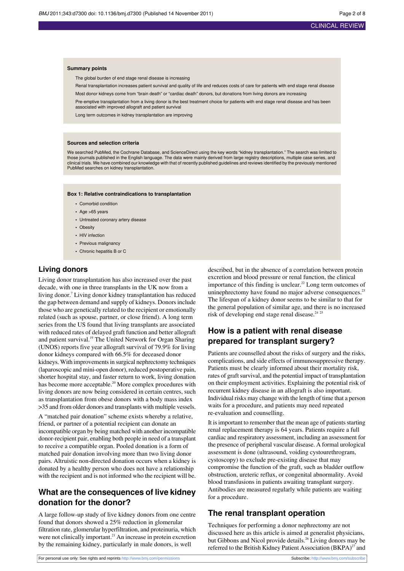#### **Summary points**

The global burden of end stage renal disease is increasing

Renal transplantation increases patient survival and quality of life and reduces costs of care for patients with end stage renal disease Most donor kidneys come from "brain death" or "cardiac death" donors, but donations from living donors are increasing

Pre-emptive transplantation from a living donor is the best treatment choice for patients with end stage renal disease and has been associated with improved allograft and patient survival

Long term outcomes in kidney transplantation are improving

#### **Sources and selection criteria**

We searched PubMed, the Cochrane Database, and ScienceDirect using the key words "kidney transplantation." The search was limited to those journals published in the English language. The data were mainly derived from large registry descriptions, multiple case series, and clinical trials. We have combined our knowledge with that of recently published guidelines and reviews identified by the previously mentioned PubMed searches on kidney transplantation.

**Box 1: Relative contraindications to transplantation**

- **•** Comorbid condition
- **•** Age >65 years
- **•** Untreated coronary artery disease
- **•** Obesity
- **•** HIV infection
- **•** Previous malignancy
- **•** Chronic hepatitis B or C

### **Living donors**

Living donor transplantation has also increased over the past decade, with one in three transplants in the UK now from a living donor.<sup>7</sup> Living donor kidney transplantation has reduced the gap between demand and supply of kidneys. Donorsinclude those who are genetically related to the recipient or emotionally related (such as spouse, partner, or close friend). A long term series from the US found that living transplants are associated with reduced rates of delayed graft function and better allograft and patient survival.<sup>19</sup> The United Network for Organ Sharing (UNOS) reports five year allograft survival of 79.9% for living donor kidneys compared with 66.5% for deceased donor kidneys. With improvements in surgical nephrectomy techniques (laparoscopic and mini-open donor), reduced postoperative pain, shorter hospital stay, and faster return to work, living donation has become more acceptable.<sup>20</sup> More complex procedures with living donors are now being considered in certain centres, such as transplantation from obese donors with a body mass index >35 and from older donors and transplants with multiple vessels.

A "matched pair donation" scheme exists whereby a relative, friend, or partner of a potential recipient can donate an incompatible organ by being matched with another incompatible donor-recipient pair, enabling both people in need of a transplant to receive a compatible organ. Pooled donation is a form of matched pair donation involving more than two living donor pairs. Altruistic non-directed donation occurs when a kidney is donated by a healthy person who does not have a relationship with the recipient and is not informed who the recipient will be.

### **What are the consequences of live kidney donation for the donor?**

A large follow-up study of live kidney donors from one centre found that donors showed a 25% reduction in glomerular filtration rate, glomerular hyperfiltration, and proteinuria, which were not clinically important.<sup>21</sup> An increase in protein excretion by the remaining kidney, particularly in male donors, is well

described, but in the absence of a correlation between protein excretion and blood pressure or renal function, the clinical importance of this finding is unclear.<sup>22</sup> Long term outcomes of uninephrectomy have found no major adverse consequences.<sup>23</sup> The lifespan of a kidney donor seems to be similar to that for the general population of similar age, and there is no increased risk of developing end stage renal disease.<sup>24 25</sup>

### **How is a patient with renal disease prepared for transplant surgery?**

Patients are counselled about the risks of surgery and the risks, complications, and side effects of immunosuppressive therapy. Patients must be clearly informed about their mortality risk, rates of graft survival, and the potential impact of transplantation on their employment activities. Explaining the potential risk of recurrent kidney disease in an allograft is also important. Individual risks may change with the length of time that a person waits for a procedure, and patients may need repeated re-evaluation and counselling.

It is important to remember that the mean age of patients starting renal replacement therapy is 64 years. Patients require a full cardiac and respiratory assessment, including an assessment for the presence of peripheral vascular disease. A formal urological assessment is done (ultrasound, voiding cystourethrogram, cystoscopy) to exclude pre-existing disease that may compromise the function of the graft, such as bladder outflow obstruction, ureteric reflux, or congenital abnormality. Avoid blood transfusions in patients awaiting transplant surgery. Antibodies are measured regularly while patients are waiting for a procedure.

### **The renal transplant operation**

Techniques for performing a donor nephrectomy are not discussed here as this article is aimed at generalist physicians, but Gibbons and Nicol provide details.<sup>26</sup> Living donors may be referred to the British Kidney Patient Association (BKPA)<sup>27</sup> and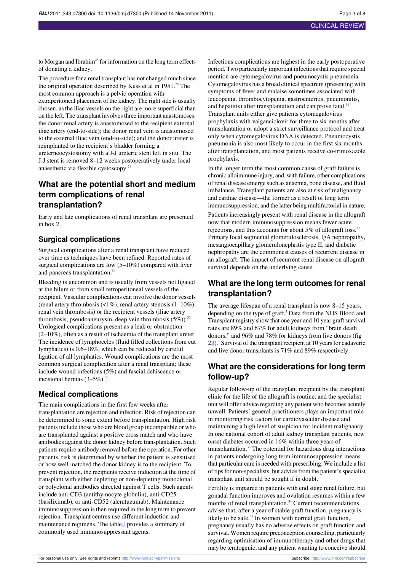to Morgan and Ibrahim<sup>23</sup> for information on the long term effects of donating a kidney.

The procedure for a renal transplant has not changed much since the original operation described by Kuss et al in  $1951.^{28}$  The most common approach is a pelvic operation with

extraperitoneal placement of the kidney. The right side is usually chosen, as the iliac vessels on the right are more superficial than on the left. The transplant involves three important anastomoses: the donor renal artery is anastomosed to the recipient external iliac artery (end-to-side); the donor renal vein is anastomosed to the external iliac vein (end-to-side); and the donor ureter is reimplanted to the recipient's bladder forming a

ureterneocystostomy with a J-J ureteric stent left in situ. The J-J stent is removed 8–12 weeks postoperatively under local anaesthetic via flexible cystoscopy.<sup>29</sup>

### **What are the potential short and medium term complications of renal transplantation?**

Early and late complications of renal transplant are presented in box 2.

### **Surgical complications**

Surgical complications after a renal transplant have reduced over time as techniques have been refined. Reported rates of surgical complications are low (5–10%) compared with liver and pancreas transplantation.<sup>30</sup>

Bleeding is uncommon and is usually from vessels not ligated at the hilum or from small retroperitoneal vessels of the recipient. Vascular complications can involve the donor vessels (renal artery thrombosis  $\left($  <1%), renal artery stenosis  $(1-10\%)$ , renal vein thrombosis) or the recipient vessels (iliac artery thrombosis, pseudoaneurysm, deep vein thrombosis  $(5\%)$ .<sup>30</sup> Urological complications present as a leak or obstruction (2–10%), often as a result of ischaemia of the transplant ureter. The incidence of lymphoceles (fluid filled collections from cut lymphatics) is 0.6–18%, which can be reduced by careful ligation of all lymphatics. Wound complications are the most common surgical complication after a renal transplant; these include wound infections (5%) and fascial dehiscence or incisional hernias  $(3-5\%)$ .<sup>3</sup>

### **Medical complications**

The main complications in the first few weeks after transplantation are rejection and infection. Risk of rejection can be determined to some extent before transplantation. High risk patients include those who are blood group incompatible or who are transplanted against a positive cross match and who have antibodies against the donor kidney before transplantation. Such patients require antibody removal before the operation. For other patients, risk is determined by whether the patient is sensitised or how well matched the donor kidney is to the recipient. To prevent rejection, the recipients receive induction at the time of transplant with either depleting or non-depleting monoclonal or polyclonal antibodies directed against T cells. Such agents include anti-CD3 (antithymocyte globulin), anti-CD25 (basiliximab), or anti-CD52 (alemtuzumab). Maintenance immunosuppression is then required in the long term to prevent rejection. Transplant centres use different induction and maintenance regimens. The table[⇓](#page-6-0) provides a summary of commonly used immunosuppressant agents.

Infectious complications are highest in the early postoperative period. Two particularly important infections that require special mention are cytomegalovirus and pneumocystis pneumonia. Cytomegalovirus has a broad clinical spectrum (presenting with symptoms of fever and malaise sometimes associated with leucopenia, thrombocytopenia, gastroenteritis, pneumonitis, and hepatitis) after transplantation and can prove fatal.<sup>31</sup> Transplant units either give patients cytomegalovirus prophylaxis with valganciclovir for three to six months after transplantation or adopt a strict surveillance protocol and treat only when cytomegalovirus DNA is detected. Pneumocystis pneumonia is also most likely to occur in the first six months after transplantation, and most patients receive co-trimoxazole prophylaxis.

In the longer term the most common cause of graft failure is chronic alloimmune injury, and, with failure, other complications of renal disease emerge such as anaemia, bone disease, and fluid imbalance. Transplant patients are also at risk of malignancy and cardiac disease—the former as a result of long term immunosuppression, and the latter being multifactorial in nature.

Patients increasingly present with renal disease in the allograft now that modern immunosuppression means fewer acute rejections, and this accounts for about 5% of allograft loss.<sup>32</sup> Primary focal segmental glomerulosclerosis, IgA nephropathy, mesangiocapillary glomerulonephritis type II, and diabetic nephropathy are the commonest causes of recurrent disease in an allograft. The impact of recurrent renal disease on allograft survival depends on the underlying cause.

### **What are the long term outcomes for renal transplantation?**

The average lifespan of a renal transplant is now 8–15 years, depending on the type of graft.<sup>3</sup> Data from the NHS Blood and Transplant registry show that one year and 10 year graft survival rates are 89% and 67% for adult kidneys from "brain death donors," and 96% and 78% for kidneys from live donors (fig  $2\sqrt{2}$ .<sup>7</sup> Survival of the transplant recipient at 10 years for cadaveric and live donor transplants is 71% and 89% respectively.

### **What are the considerations for long term follow-up?**

Regular follow-up of the transplant recipient by the transplant clinic for the life of the allograft is routine, and the specialist unit will offer advice regarding any patient who becomes acutely unwell. Patients' general practitioners plays an important role in monitoring risk factors for cardiovascular disease and maintaining a high level of suspicion for incident malignancy. In one national cohort of adult kidney transplant patients, new onset diabetes occurred in 16% within three years of transplantation.<sup>33</sup> The potential for hazardous drug interactions in patients undergoing long term immunosuppression means that particular care is needed with prescribing. We include a list of tips for non-specialists, but advice from the patient's specialist transplant unit should be sought if in doubt.

Fertility is impaired in patients with end stage renal failure, but gonadal function improves and ovulation resumes within a few months of renal transplantation.<sup>34</sup> Current recommendations advise that, after a year of stable graft function, pregnancy is likely to be safe.<sup>35</sup> In women with normal graft function, pregnancy usually has no adverse effects on graft function and survival. Women require preconception counselling, particularly regarding optimisation of immunotherapy and other drugs that may be teratogenic, and any patient wanting to conceive should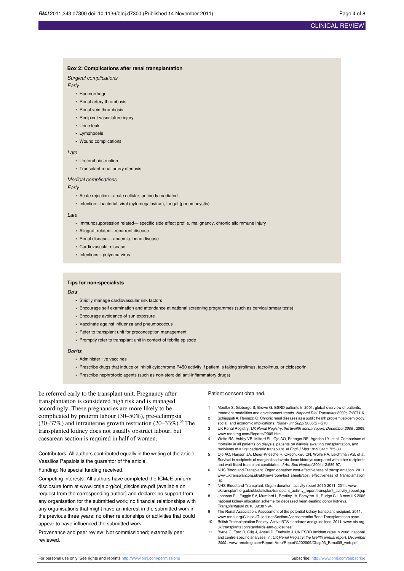### CLINICAL REVIEW

#### **Box 2: Complications after renal transplantation**

Surgical complications

Early

- **•** Haemorrhage
- **•** Renal artery thrombosis
- **•** Renal vein thrombosis
- **•** Recipient vasculature injury
- **•** Urine leak
- **•** Lymphocele
- **•** Wound complications

#### Late

- **•** Ureteral obstruction
- **•** Transplant renal artery stenosis

#### Medical complications

#### Early

- **•** Acute rejection—acute cellular, antibody mediated
- **•** Infection—bacterial, viral (cytomegalovirus), fungal (pneumocystis)

#### Late

- **•** Immunosuppression related— specific side effect profile, malignancy, chronic alloimmune injury
- **•** Allograft related—recurrent disease
- **•** Renal disease— anaemia, bone disease
- **•** Cardiovascular disease
- **•** Infections—polyoma virus

#### **Tips for non-specialists**

#### Do's

- **•** Strictly manage cardiovascular risk factors
- **•** Encourage self examination and attendance at national screening programmes (such as cervical smear tests)
- **•** Encourage avoidance of sun exposure
- **•** Vaccinate against influenza and pneumococcus
- **•** Refer to transplant unit for preconception management
- **•** Promptly refer to transplant unit in context of febrile episode

#### Don'ts

- **•** Administer live vaccines
- **•** Prescribe drugs that induce or inhibit cytochrome P450 activity if patient is taking sirolimus, tacrolimus, or ciclosporin
- **•** Prescribe nephrotoxic agents (such as non-steroidal anti-inflammatory drugs)

be referred early to the transplant unit. Pregnancy after transplantation is considered high risk and is managed accordingly. These pregnancies are more likely to be complicated by preterm labour (30–50%), pre-eclampsia (30–37%) and intrauterine growth restriction (20–33%).<sup>36</sup> The transplanted kidney does not usually obstruct labour, but caesarean section is required in half of women.

Contributors: All authors contributed equally in the writing of the article, Vassilios Papalois is the guarantor of the article.

#### Funding: No special funding received.

Competing interests: All authors have completed the ICMJE uniform disclosure form at [www.icmje.org/coi\\_disclosure.pdf](http://www.icmje.org/coi_disclosure.pdf) (available on request from the corresponding author) and declare: no support from any organisation for the submitted work; no financial relationships with any organisations that might have an interest in the submitted work in the previous three years; no other relationships or activities that could appear to have influenced the submitted work.

Provenance and peer review: Not commissioned; externally peer reviewed.

#### Patient consent obtained.

- 1 Moeller S, Gioberge S, Brown G. ESRD patients in 2001: global overview of patients, treatment modalities and development trends. Nephrol Dial Transplant 2002;17:2071-6.
- 2 Schieppati A, Remuzzi G. Chronic renal diseases as a public health problem: epidemiology, social, and economic implications. Kidney Int Suppl 2005:S7-S10.
- 3 UK Renal Registry. UK Renal Registry: the twelfth annual report, December 2009 . 2009. [www.renalreg.com/Reports/2009.html.](http://www.renalreg.com/Reports/2009.html)
- 4 Wolfe RA, Ashby VB, Milford EL, Ojo AO, Ettenger RE, Agodoa LY, et al. Comparison of mortality in all patients on dialysis, patients on dialysis awaiting transplantation, and recipients of a first cadaveric transplant. N Engl J Med 1999;341:1725-30.
- 5 Ojo AO, Hanson JA, Meier-Kriesche H, Okechukwu CN, Wolfe RA, Leichtman AB, et al. Survival in recipients of marginal cadaveric donor kidneys compared with other recipients and wait-listed transplant candidates. J Am Soc Nephrol 2001;12:589-97.
- 6 NHS Blood and Transplant. Organ donation: cost-effectiveness of transplantation. 2011. [www.uktransplant.org.uk/ukt/newsroom/fact\\_sheets/cost\\_effectiveness\\_of\\_transplantation.](http://www.uktransplant.org.uk/ukt/newsroom/fact_sheets/cost_effectiveness_of_transplantation.jsp)
- [jsp](http://www.uktransplant.org.uk/ukt/newsroom/fact_sheets/cost_effectiveness_of_transplantation.jsp) 7 NHS Blood and Transplant. Organ donation: activity report 2010-2011. 2011. [www.](http://www.uktransplant.org.uk/ukt/statistics/transplant_activity_report/transplant_activity_report.jsp)
- [uktransplant.org.uk/ukt/statistics/transplant\\_activity\\_report/transplant\\_activity\\_report.jsp](http://www.uktransplant.org.uk/ukt/statistics/transplant_activity_report/transplant_activity_report.jsp) 8 Johnson RJ, Fuggle SV, Mumford L, Bradley JA, Forsythe JL, Rudge CJ. A new UK 2006 national kidney allocation scheme for deceased heart-beating donor kidneys. Transplantation 2010;89:387-94.
- 9 The Renal Association. Assessment of the potential kidney transplant recipient. 2011. www.renal.org/Clinical/GuidelinesSection/AssessmentforRenalTransplantation.asp
- 10 British Transplantation Society. Active BTS standards and guidelines. 2011. [www.bts.org.](http://www.bts.org.uk/transplantation/standards-and-guidelines/) [uk/transplantation/standards-and-guidelines/](http://www.bts.org.uk/transplantation/standards-and-guidelines/)
- 11 Byrne C, Ford D, Gilg J, Ansell D, Feehally J. UK ESRD incident rates in 2008: national and centre-specific analyses. In: *UK Renal Registry: the twelfth annual report, December*<br>2009 . [www.renalreg.com/Report-Area/Report%202009/Chap03\\_Renal09\\_web.pdf](http://www.renalreg.com/Report-Area/Report%202009/Chap03_Renal09_web.pdf)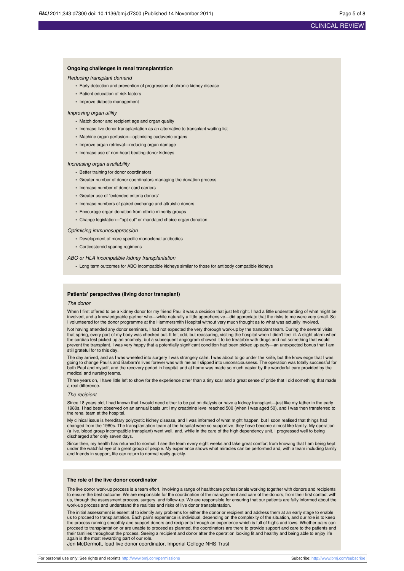### CLINICAL REVIEW

#### **Ongoing challenges in renal transplantation**

#### Reducing transplant demand

- **•** Early detection and prevention of progression of chronic kidney disease
- **•** Patient education of risk factors
- **•** Improve diabetic management

#### Improving organ utility

- **•** Match donor and recipient age and organ quality
- **•** Increase live donor transplantation as an alternative to transplant waiting list
- **•** Machine organ perfusion—optimising cadaveric organs
- **•** Improve organ retrieval—reducing organ damage
- **•** Increase use of non-heart beating donor kidneys

#### Increasing organ availability

- **•** Better training for donor coordinators
- **•** Greater number of donor coordinators managing the donation process
- **•** Increase number of donor card carriers
- **•** Greater use of "extended criteria donors"
- **•** Increase numbers of paired exchange and altruistic donors
- **•** Encourage organ donation from ethnic minority groups
- **•** Change legislation—"opt out" or mandated choice organ donation

#### Optimising immunosuppression

- **•** Development of more specific monoclonal antibodies
- **•** Corticosteroid sparing regimens

#### ABO or HLA incompatible kidney transplantation

**•** Long term outcomes for ABO incompatible kidneys similar to those for antibody compatible kidneys

#### **Patients' perspectives (living donor transplant)**

#### The donor

When I first offered to be a kidney donor for my friend Paul it was a decision that just felt right. I had a little understanding of what might be involved, and a knowledgeable partner who—while naturally a little apprehensive—did appreciate that the risks to me were very small. So I volunteered for the donor programme at the Hammersmith Hospital without very much thought as to what was actually involved.

Not having attended any donor seminars, I had not expected the very thorough work-up by the transplant team. During the several visits that spring, every part of my body was checked out. It felt odd, but reassuring, visiting the hospital when I didn't feel ill. A slight alarm when the cardiac test picked up an anomaly, but a subsequent angiogram showed it to be treatable with drugs and not something that would prevent the transplant. I was very happy that a potentially significant condition had been picked up early—an unexpected bonus that I am still grateful for to this day.

The day arrived, and as I was wheeled into surgery I was strangely calm. I was about to go under the knife, but the knowledge that I was going to change Paul's and Barbara's lives forever was with me as I slipped into unconsciousness. The operation was totally successful for both Paul and myself, and the recovery period in hospital and at home was made so much easier by the wonderful care provided by the medical and nursing teams.

Three years on, I have little left to show for the experience other than a tiny scar and a great sense of pride that I did something that made a real difference.

#### The recipient

Since 18 years old, I had known that I would need either to be put on dialysis or have a kidney transplant—just like my father in the early 1980s. I had been observed on an annual basis until my creatinine level reached 500 (when I was aged 50), and I was then transferred to the renal team at the hospital.

My clinical issue is hereditary polycystic kidney disease, and I was informed of what might happen, but I soon realised that things had changed from the 1980s. The transplantation team at the hospital were so supportive; they have become almost like family. My operation (a live, blood group incompatible transplant) went well, and, while in the care of the high dependency unit, I progressed well to being discharged after only seven days.

Since then, my health has returned to normal. I see the team every eight weeks and take great comfort from knowing that I am being kept under the watchful eye of a great group of people. My experience shows what miracles can be performed and, with a team including family and friends in support, life can return to normal really quickly.

#### **The role of the live donor coordinator**

The live donor work-up process is a team effort, involving a range of healthcare professionals working together with donors and recipients to ensure the best outcome. We are responsible for the coordination of the management and care of the donors; from their first contact with us, through the assessment process, surgery, and follow-up. We are responsible for ensuring that our patients are fully informed about the work-up process and understand the realities and risks of live donor transplantation.

The initial assessment is essential to identify any problems for either the donor or recipient and address them at an early stage to enable us to proceed to transplantation. Each pair's experience is individual, depending on the complexity of the situation, and our role is to keep the process running smoothly and support donors and recipients through an experience which is full of highs and lows. Whether pairs can proceed to transplantation or are unable to proceed as planned, the coordinators are there to provide support and care to the patients and<br>their families throughout the process. Seeing a recipient and donor after the opera again is the most rewarding part of our role.

Jen McDermott, lead live donor coordinator, Imperial College NHS Trust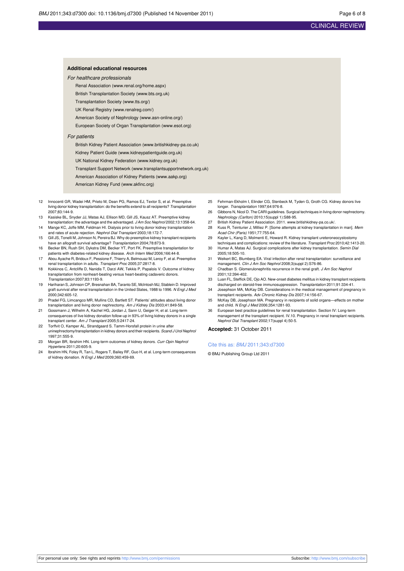#### **Additional educational resources**

#### For healthcare professionals

Renal Association [\(www.renal.org/home.aspx](http://www.renal.org/home.aspx))

British Transplantation Society [\(www.bts.org.uk\)](http://www.bts.org.uk/)

- Transplantation Society [\(www.tts.org/](http://www.tts.org/))
- UK Renal Registry ([www.renalreg.com/](http://www.renalreg.com/))
- American Society of Nephrology [\(www.asn-online.org/](http://www.asn-online.org/))
- European Society of Organ Transplantation [\(www.esot.org\)](http://www.esot.org/)

#### For patients

- British Kidney Patient Association [\(www.britishkidney-pa.co.uk](http://www.britishkidney-pa.co.uk/))
- Kidney Patient Guide (www.kidneypatientguide.org.uk)
- UK National Kidney Federation [\(www.kidney.org.uk](http://www.kidney.org.uk/))
- Transplant Support Network [\(www.transplantsupportnetwork.org.uk](http://www.transplantsupportnetwork.org.uk/))
- American Association of Kidney Patients [\(www.aakp.org](http://www.aakp.org/))
- American Kidney Fund [\(www.a](http://www.akfinc.org/)kfinc.org)
- 12 Innocenti GR, Wadei HM, Prieto M, Dean PG, Ramos EJ, Textor S, et al. Preemptive living donor kidney transplantation: do the benefits extend to all recipients? Transplantation 2007;83:144-9.
- 13 Kasiske BL, Snyder JJ, Matas AJ, Ellison MD, Gill JS, Kausz AT. Preemptive kidney transplantation: the advantage and the advantaged. J Am Soc Nephrol 2002;13:1358-64.
- 14 Mange KC, Joffe MM, Feldman HI. Dialysis prior to living donor kidney transplantation and rates of acute rejection. Nephrol Dial Transplant 2003;18:172-7.
- 15 Gill JS, Tonelli M, Johnson N, Pereira BJ. Why do preemptive kidney transplant recipients have an allograft survival advantage? Transplantation 2004;78:873-9. 16 Becker BN, Rush SH, Dykstra DM, Becker YT, Port FK. Preemptive transplantation for
- patients with diabetes-related kidney disease. Arch Intern Med 2006;166:44-8. 17 Abou Ayache R, Bridoux F, Pessione F, Thierry A, Belmouaz M, Leroy F, et al. Preemptive
- renal transplantation in adults. Transplant Proc 2005;37:2817-8. 18 Kokkinos C, Antcliffe D, Nanidis T, Darzi AW, Tekkis P, Papalois V. Outcome of kidney
- transplantation from nonheart-beating versus heart-beating cadaveric donors. Transplantation 2007;83:1193-9.
- 19 Hariharan S, Johnson CP, Bresnahan BA, Taranto SE, McIntosh MJ, Stablein D. Improved graft survival after renal transplantation in the United States, 1988 to 1996. N Engl J Med 2000;342:605-12.
- 20 Pradel FG, Limcangco MR, Mullins CD, Bartlett ST. Patients' attitudes about living donor transplantation and living donor nephrectomy. Am J Kidney Dis 2003;41:849-58.
- 21 Gossmann J, Wilhelm A, Kachel HG, Jordan J, Sann U, Geiger H, et al. Long-term consequences of live kidney donation follow-up in 93% of living kidney donors in a single transplant center. Am J Transplant 2005;5:2417-24.
- 22 Torffvit O, Kamper AL, Strandgaard S. Tamm-Horsfall protein in urine after uninephrectomy/transplantation in kidney donors and their recipients. Scand J Urol Nephrol 1997;31:555-9.
- 23 Morgan BR, Ibrahim HN. Long-term outcomes of kidney donors. Curr Opin Nephrol Hypertens 2011;20:605-9.
- 24 Ibrahim HN, Foley R, Tan L, Rogers T, Bailey RF, Guo H, et al. Long-term consequences of kidney donation. N Engl J Med 2009;360:459-69.
- 25 Fehrman-Ekholm I, Elinder CG, Stenbeck M, Tyden G, Groth CG. Kidney donors live longer. Transplantation 1997;64:976-8.
- 26 Gibbons N, Nicol D. The CARI guidelines. Surgical techniques in living donor nephrectomy Nephrology (Carlton) 2010;15(suppl 1):S88-95.
- 27 British Kidney Patient Association. 2011. [www.britishkidney-pa.co.uk/](http://www.britishkidney-pa.co.uk/).<br>28 Kuss R. Teinturier J. Milliez P. ISome attempts at kidney transplantation Kuss R, Teinturier J, Milliez P. [Some attempts at kidney transplantation in man]. Mem
- Acad Chir (Paris) 1951;77:755-64. 29 Kayler L, Kang D, Molmenti E, Howard R. Kidney transplant ureteroneocystostomy
- techniques and complications: review of the literature. Transplant Proc 2010;42:1413-20. 30 Humar A, Matas AJ. Surgical complications after kidney transplantation. Semin Dial 2005;18:505-10.
- 31 Weikert BC, Blumberg EA. Viral infection after renal transplantation: surveillance and management. Clin J Am Soc Nephrol 2008;3(suppl 2):S76-86.
- 32 Chadban S. Glomerulonephritis recurrence in the renal graft. J Am Soc Nephrol 2001;12:394-402.
- 33 Luan FL, Steffick DE, Ojo AO. New-onset diabetes mellitus in kidney transplant recipients discharged on steroid-free immunosuppression. Transplantation 2011;91:334-41.
- 34 Josephson MA, McKay DB. Considerations in the medical management of pregnancy in transplant recipients. Adv Chronic Kidney Dis 2007;14:156-67.
- 35 McKay DB, Josephson MA. Pregnancy in recipients of solid organs—effects on mother and child. N Engl J Med 2006;354:1281-93.
- 36 European best practice guidelines for renal transplantation. Section IV: Long-term management of the transplant recipient. IV.10. Pregnancy in renal transplant recipients. Nephrol Dial Transplant 2002;17(suppl 4):50-5.

#### **Accepted:** 31 October 2011

#### Cite this as: BMJ 2011;343:d7300

© BMJ Publishing Group Ltd 2011

For personal use only: See rights and reprints<http://www.bmj.com/permissions> Subscribe: <http://www.bmj.com/subscribe>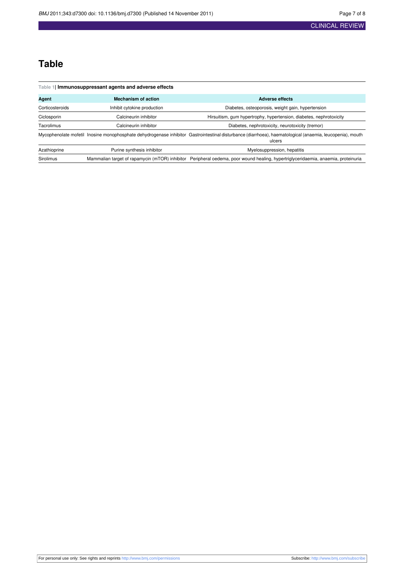### **Table**

<span id="page-6-0"></span>

| Table 1  Immunosuppressant agents and adverse effects |                                                |                                                                                                                                                                     |
|-------------------------------------------------------|------------------------------------------------|---------------------------------------------------------------------------------------------------------------------------------------------------------------------|
| Agent                                                 | <b>Mechanism of action</b>                     | <b>Adverse effects</b>                                                                                                                                              |
| Corticosteroids                                       | Inhibit cytokine production                    | Diabetes, osteoporosis, weight gain, hypertension                                                                                                                   |
| Ciclosporin                                           | Calcineurin inhibitor                          | Hirsuitism, gum hypertrophy, hypertension, diabetes, nephrotoxicity                                                                                                 |
| Tacrolimus                                            | Calcineurin inhibitor                          | Diabetes, nephrotoxicity, neurotoxicity (tremor)                                                                                                                    |
|                                                       |                                                | Mycophenolate mofetil Inosine monophosphate dehydrogenase inhibitor Gastrointestinal disturbance (diarrhoea), haematological (anaemia, leucopenia), mouth<br>ulcers |
| Azathioprine                                          | Purine synthesis inhibitor                     | Myelosuppression, hepatitis                                                                                                                                         |
| Sirolimus                                             | Mammalian target of rapamycin (mTOR) inhibitor | Peripheral oedema, poor wound healing, hypertriglyceridaemia, anaemia, proteinuria                                                                                  |